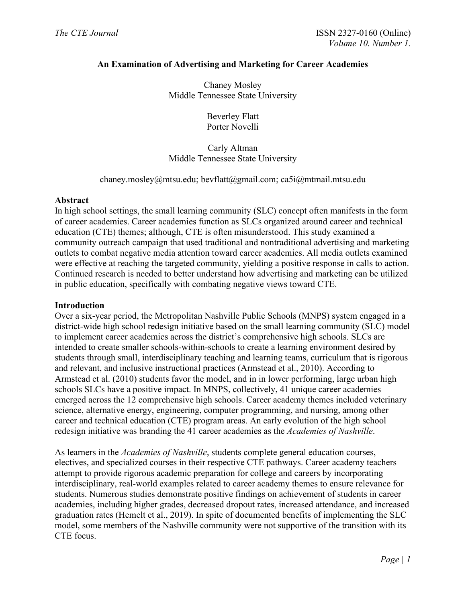# **An Examination of Advertising and Marketing for Career Academies**

Chaney Mosley Middle Tennessee State University

> Beverley Flatt Porter Novelli

# Carly Altman Middle Tennessee State University

## chaney.mosley@mtsu.edu; bevflatt@gmail.com; ca5i@mtmail.mtsu.edu

#### **Abstract**

In high school settings, the small learning community (SLC) concept often manifests in the form of career academies. Career academies function as SLCs organized around career and technical education (CTE) themes; although, CTE is often misunderstood. This study examined a community outreach campaign that used traditional and nontraditional advertising and marketing outlets to combat negative media attention toward career academies. All media outlets examined were effective at reaching the targeted community, yielding a positive response in calls to action. Continued research is needed to better understand how advertising and marketing can be utilized in public education, specifically with combating negative views toward CTE.

#### **Introduction**

Over a six-year period, the Metropolitan Nashville Public Schools (MNPS) system engaged in a district-wide high school redesign initiative based on the small learning community (SLC) model to implement career academies across the district's comprehensive high schools. SLCs are intended to create smaller schools-within-schools to create a learning environment desired by students through small, interdisciplinary teaching and learning teams, curriculum that is rigorous and relevant, and inclusive instructional practices (Armstead et al., 2010). According to Armstead et al. (2010) students favor the model, and in in lower performing, large urban high schools SLCs have a positive impact. In MNPS, collectively, 41 unique career academies emerged across the 12 comprehensive high schools. Career academy themes included veterinary science, alternative energy, engineering, computer programming, and nursing, among other career and technical education (CTE) program areas. An early evolution of the high school redesign initiative was branding the 41 career academies as the *Academies of Nashville*.

As learners in the *Academies of Nashville*, students complete general education courses, electives, and specialized courses in their respective CTE pathways. Career academy teachers attempt to provide rigorous academic preparation for college and careers by incorporating interdisciplinary, real-world examples related to career academy themes to ensure relevance for students. Numerous studies demonstrate positive findings on achievement of students in career academies, including higher grades, decreased dropout rates, increased attendance, and increased graduation rates (Hemelt et al., 2019). In spite of documented benefits of implementing the SLC model, some members of the Nashville community were not supportive of the transition with its CTE focus.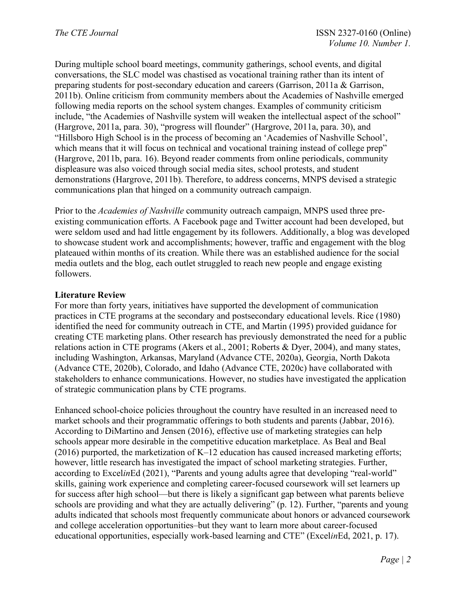During multiple school board meetings, community gatherings, school events, and digital conversations, the SLC model was chastised as vocational training rather than its intent of preparing students for post-secondary education and careers (Garrison, 2011a & Garrison, 2011b). Online criticism from community members about the Academies of Nashville emerged following media reports on the school system changes. Examples of community criticism include, "the Academies of Nashville system will weaken the intellectual aspect of the school" (Hargrove, 2011a, para. 30), "progress will flounder" (Hargrove, 2011a, para. 30), and "Hillsboro High School is in the process of becoming an 'Academies of Nashville School', which means that it will focus on technical and vocational training instead of college prep" (Hargrove, 2011b, para. 16). Beyond reader comments from online periodicals, community displeasure was also voiced through social media sites, school protests, and student demonstrations (Hargrove, 2011b). Therefore, to address concerns, MNPS devised a strategic communications plan that hinged on a community outreach campaign.

Prior to the *Academies of Nashville* community outreach campaign, MNPS used three preexisting communication efforts. A Facebook page and Twitter account had been developed, but were seldom used and had little engagement by its followers. Additionally, a blog was developed to showcase student work and accomplishments; however, traffic and engagement with the blog plateaued within months of its creation. While there was an established audience for the social media outlets and the blog, each outlet struggled to reach new people and engage existing followers.

# **Literature Review**

For more than forty years, initiatives have supported the development of communication practices in CTE programs at the secondary and postsecondary educational levels. Rice (1980) identified the need for community outreach in CTE, and Martin (1995) provided guidance for creating CTE marketing plans. Other research has previously demonstrated the need for a public relations action in CTE programs (Akers et al., 2001; Roberts & Dyer, 2004), and many states, including Washington, Arkansas, Maryland (Advance CTE, 2020a), Georgia, North Dakota (Advance CTE, 2020b), Colorado, and Idaho (Advance CTE, 2020c) have collaborated with stakeholders to enhance communications. However, no studies have investigated the application of strategic communication plans by CTE programs.

Enhanced school-choice policies throughout the country have resulted in an increased need to market schools and their programmatic offerings to both students and parents (Jabbar, 2016). According to DiMartino and Jensen (2016), effective use of marketing strategies can help schools appear more desirable in the competitive education marketplace. As Beal and Beal  $(2016)$  purported, the marketization of K–12 education has caused increased marketing efforts; however, little research has investigated the impact of school marketing strategies. Further, according to Excel*in*Ed (2021), "Parents and young adults agree that developing "real-world" skills, gaining work experience and completing career-focused coursework will set learners up for success after high school—but there is likely a significant gap between what parents believe schools are providing and what they are actually delivering" (p. 12). Further, "parents and young adults indicated that schools most frequently communicate about honors or advanced coursework and college acceleration opportunities–but they want to learn more about career-focused educational opportunities, especially work-based learning and CTE" (Excel*in*Ed, 2021, p. 17).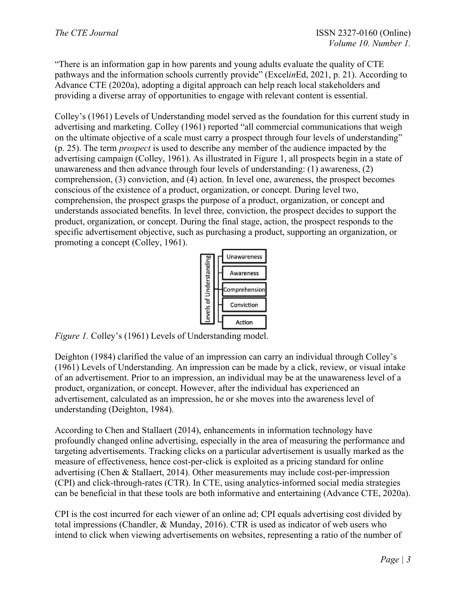"There is an information gap in how parents and young adults evaluate the quality of CTE pathways and the information schools currently provide" (Excel*in*Ed, 2021, p. 21). According to Advance CTE (2020a), adopting a digital approach can help reach local stakeholders and providing a diverse array of opportunities to engage with relevant content is essential.

Colley's (1961) Levels of Understanding model served as the foundation for this current study in advertising and marketing. Colley (1961) reported "all commercial communications that weigh on the ultimate objective of a scale must carry a prospect through four levels of understanding" (p. 25). The term *prospect* is used to describe any member of the audience impacted by the advertising campaign (Colley, 1961). As illustrated in Figure 1, all prospects begin in a state of unawareness and then advance through four levels of understanding: (1) awareness, (2) comprehension, (3) conviction, and (4) action. In level one, awareness, the prospect becomes conscious of the existence of a product, organization, or concept. During level two, comprehension, the prospect grasps the purpose of a product, organization, or concept and understands associated benefits. In level three, conviction, the prospect decides to support the product, organization, or concept. During the final stage, action, the prospect responds to the specific advertisement objective, such as purchasing a product, supporting an organization, or promoting a concept (Colley, 1961).



*Figure 1.* Colley's (1961) Levels of Understanding model.

Deighton (1984) clarified the value of an impression can carry an individual through Colley's (1961) Levels of Understanding. An impression can be made by a click, review, or visual intake of an advertisement. Prior to an impression, an individual may be at the unawareness level of a product, organization, or concept. However, after the individual has experienced an advertisement, calculated as an impression, he or she moves into the awareness level of understanding (Deighton, 1984).

According to Chen and Stallaert (2014), enhancements in information technology have profoundly changed online advertising, especially in the area of measuring the performance and targeting advertisements. Tracking clicks on a particular advertisement is usually marked as the measure of effectiveness, hence cost-per-click is exploited as a pricing standard for online advertising (Chen & Stallaert, 2014). Other measurements may include cost-per-impression (CPI) and click-through-rates (CTR). In CTE, using analytics-informed social media strategies can be beneficial in that these tools are both informative and entertaining (Advance CTE, 2020a).

CPI is the cost incurred for each viewer of an online ad; CPI equals advertising cost divided by total impressions (Chandler, & Munday, 2016). CTR is used as indicator of web users who intend to click when viewing advertisements on websites, representing a ratio of the number of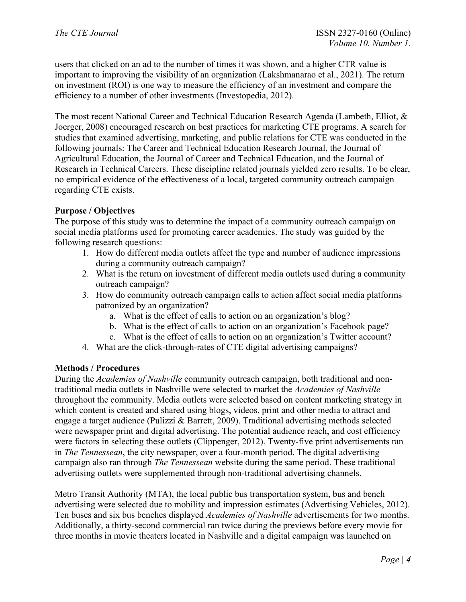users that clicked on an ad to the number of times it was shown, and a higher CTR value is important to improving the visibility of an organization (Lakshmanarao et al., 2021). The return on investment (ROI) is one way to measure the efficiency of an investment and compare the efficiency to a number of other investments (Investopedia, 2012).

The most recent National Career and Technical Education Research Agenda (Lambeth, Elliot, & Joerger, 2008) encouraged research on best practices for marketing CTE programs. A search for studies that examined advertising, marketing, and public relations for CTE was conducted in the following journals: The Career and Technical Education Research Journal, the Journal of Agricultural Education, the Journal of Career and Technical Education, and the Journal of Research in Technical Careers. These discipline related journals yielded zero results. To be clear, no empirical evidence of the effectiveness of a local, targeted community outreach campaign regarding CTE exists.

## **Purpose / Objectives**

The purpose of this study was to determine the impact of a community outreach campaign on social media platforms used for promoting career academies. The study was guided by the following research questions:

- 1. How do different media outlets affect the type and number of audience impressions during a community outreach campaign?
- 2. What is the return on investment of different media outlets used during a community outreach campaign?
- 3. How do community outreach campaign calls to action affect social media platforms patronized by an organization?
	- a. What is the effect of calls to action on an organization's blog?
	- b. What is the effect of calls to action on an organization's Facebook page?
	- c. What is the effect of calls to action on an organization's Twitter account?
- 4. What are the click-through-rates of CTE digital advertising campaigns?

#### **Methods / Procedures**

During the *Academies of Nashville* community outreach campaign, both traditional and nontraditional media outlets in Nashville were selected to market the *Academies of Nashville* throughout the community. Media outlets were selected based on content marketing strategy in which content is created and shared using blogs, videos, print and other media to attract and engage a target audience (Pulizzi & Barrett, 2009). Traditional advertising methods selected were newspaper print and digital advertising. The potential audience reach, and cost efficiency were factors in selecting these outlets (Clippenger, 2012). Twenty-five print advertisements ran in *The Tennessean*, the city newspaper, over a four-month period. The digital advertising campaign also ran through *The Tennessean* website during the same period. These traditional advertising outlets were supplemented through non-traditional advertising channels.

Metro Transit Authority (MTA), the local public bus transportation system, bus and bench advertising were selected due to mobility and impression estimates (Advertising Vehicles, 2012). Ten buses and six bus benches displayed *Academies of Nashville* advertisements for two months. Additionally, a thirty-second commercial ran twice during the previews before every movie for three months in movie theaters located in Nashville and a digital campaign was launched on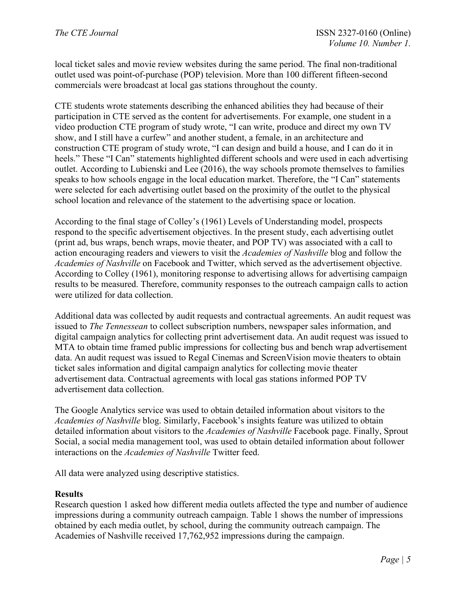local ticket sales and movie review websites during the same period. The final non-traditional outlet used was point-of-purchase (POP) television. More than 100 different fifteen-second commercials were broadcast at local gas stations throughout the county.

CTE students wrote statements describing the enhanced abilities they had because of their participation in CTE served as the content for advertisements. For example, one student in a video production CTE program of study wrote, "I can write, produce and direct my own TV show, and I still have a curfew" and another student, a female, in an architecture and construction CTE program of study wrote, "I can design and build a house, and I can do it in heels." These "I Can" statements highlighted different schools and were used in each advertising outlet. According to Lubienski and Lee (2016), the way schools promote themselves to families speaks to how schools engage in the local education market. Therefore, the "I Can" statements were selected for each advertising outlet based on the proximity of the outlet to the physical school location and relevance of the statement to the advertising space or location.

According to the final stage of Colley's (1961) Levels of Understanding model, prospects respond to the specific advertisement objectives. In the present study, each advertising outlet (print ad, bus wraps, bench wraps, movie theater, and POP TV) was associated with a call to action encouraging readers and viewers to visit the *Academies of Nashville* blog and follow the *Academies of Nashville* on Facebook and Twitter, which served as the advertisement objective. According to Colley (1961), monitoring response to advertising allows for advertising campaign results to be measured. Therefore, community responses to the outreach campaign calls to action were utilized for data collection.

Additional data was collected by audit requests and contractual agreements. An audit request was issued to *The Tennessean* to collect subscription numbers, newspaper sales information, and digital campaign analytics for collecting print advertisement data. An audit request was issued to MTA to obtain time framed public impressions for collecting bus and bench wrap advertisement data. An audit request was issued to Regal Cinemas and ScreenVision movie theaters to obtain ticket sales information and digital campaign analytics for collecting movie theater advertisement data. Contractual agreements with local gas stations informed POP TV advertisement data collection.

The Google Analytics service was used to obtain detailed information about visitors to the *Academies of Nashville* blog. Similarly, Facebook's insights feature was utilized to obtain detailed information about visitors to the *Academies of Nashville* Facebook page. Finally, Sprout Social, a social media management tool, was used to obtain detailed information about follower interactions on the *Academies of Nashville* Twitter feed.

All data were analyzed using descriptive statistics.

#### **Results**

Research question 1 asked how different media outlets affected the type and number of audience impressions during a community outreach campaign. Table 1 shows the number of impressions obtained by each media outlet, by school, during the community outreach campaign. The Academies of Nashville received 17,762,952 impressions during the campaign.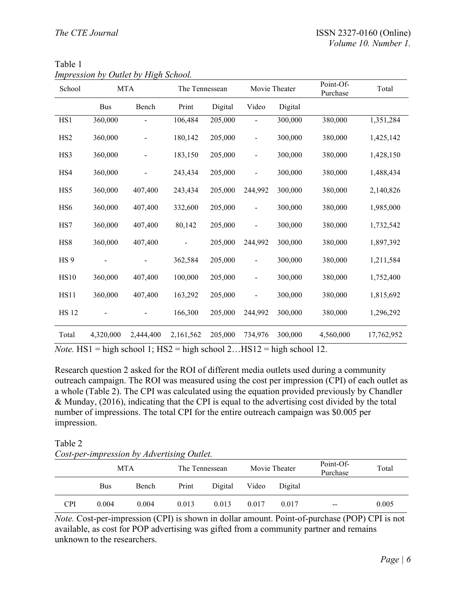| School          |                             | <b>MTA</b>                            | The Tennessean |                              | Movie Theater                |                    | Point-Of-<br>Purchase         | Total      |
|-----------------|-----------------------------|---------------------------------------|----------------|------------------------------|------------------------------|--------------------|-------------------------------|------------|
|                 | <b>Bus</b>                  | Bench                                 | Print          | Digital                      | Video                        | Digital            |                               |            |
| HS1             | 360,000                     |                                       | 106,484        | 205,000                      |                              | 300,000            | 380,000                       | 1,351,284  |
| HS <sub>2</sub> | 360,000                     |                                       | 180,142        | 205,000                      |                              | 300,000            | 380,000                       | 1,425,142  |
| HS3             | 360,000                     |                                       | 183,150        | 205,000                      | $\overline{\phantom{0}}$     | 300,000            | 380,000                       | 1,428,150  |
| HS4             | 360,000                     |                                       | 243,434        | 205,000                      |                              | 300,000            | 380,000                       | 1,488,434  |
| HS5             | 360,000                     | 407,400                               | 243,434        | 205,000                      | 244,992                      | 300,000            | 380,000                       | 2,140,826  |
| HS <sub>6</sub> | 360,000                     | 407,400                               | 332,600        | 205,000                      |                              | 300,000            | 380,000                       | 1,985,000  |
| HS7             | 360,000                     | 407,400                               | 80,142         | 205,000                      |                              | 300,000            | 380,000                       | 1,732,542  |
| HS8             | 360,000                     | 407,400                               |                | 205,000                      | 244,992                      | 300,000            | 380,000                       | 1,897,392  |
| HS <sub>9</sub> |                             |                                       | 362,584        | 205,000                      | $\qquad \qquad \blacksquare$ | 300,000            | 380,000                       | 1,211,584  |
| <b>HS10</b>     | 360,000                     | 407,400                               | 100,000        | 205,000                      |                              | 300,000            | 380,000                       | 1,752,400  |
| <b>HS11</b>     | 360,000                     | 407,400                               | 163,292        | 205,000                      |                              | 300,000            | 380,000                       | 1,815,692  |
| <b>HS 12</b>    |                             |                                       | 166,300        | 205,000                      | 244,992                      | 300,000            | 380,000                       | 1,296,292  |
| Total           | 4,320,000<br>$TTC1$ $1$ $1$ | 2,444,400<br>$1 \t11$ $11$ $100 \t11$ | 2,161,562      | 205,000<br>$1 \quad 1 \quad$ | 734,976<br>TTQ1Q             | 300,000<br>1.1.1.1 | 4,560,000<br>1.1 <sub>0</sub> | 17,762,952 |

| Table 1                              |
|--------------------------------------|
| Impression by Outlet by High School. |

*Note.* HS1 = high school 1; HS2 = high school 2... HS12 = high school 12.

Research question 2 asked for the ROI of different media outlets used during a community outreach campaign. The ROI was measured using the cost per impression (CPI) of each outlet as a whole (Table 2). The CPI was calculated using the equation provided previously by Chandler & Munday, (2016), indicating that the CPI is equal to the advertising cost divided by the total number of impressions. The total CPI for the entire outreach campaign was \$0.005 per impression.

## Table 2

| Cost-per-impression by Advertising Outlet. |  |  |
|--------------------------------------------|--|--|
|--------------------------------------------|--|--|

|            | <b>MTA</b> |       | The Tennessean |         | Movie Theater |         | Point-Of-<br>Purchase  | Total |
|------------|------------|-------|----------------|---------|---------------|---------|------------------------|-------|
|            | <b>Bus</b> | Bench | Print          | Digital | Video         | Digital |                        |       |
| <b>CPI</b> | 0.004      | 0.004 | 0.013          | 0.013   | 0.017         | 0.017   | $\qquad \qquad \cdots$ | 0.005 |

*Note.* Cost-per-impression (CPI) is shown in dollar amount. Point-of-purchase (POP) CPI is not available, as cost for POP advertising was gifted from a community partner and remains unknown to the researchers.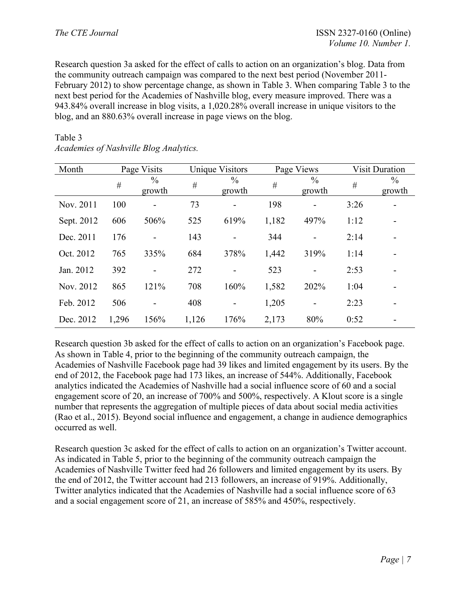Research question 3a asked for the effect of calls to action on an organization's blog. Data from the community outreach campaign was compared to the next best period (November 2011- February 2012) to show percentage change, as shown in Table 3. When comparing Table 3 to the next best period for the Academies of Nashville blog, every measure improved. There was a 943.84% overall increase in blog visits, a 1,020.28% overall increase in unique visitors to the blog, and an 880.63% overall increase in page views on the blog.

#### Table 3

| Month      |       | Page Visits             |       | Unique Visitors         |       | Page Views               |      | <b>Visit Duration</b>   |
|------------|-------|-------------------------|-------|-------------------------|-------|--------------------------|------|-------------------------|
|            | #     | $\frac{0}{0}$<br>growth | #     | $\frac{0}{0}$<br>growth | $\#$  | $\frac{0}{0}$<br>growth  | $\#$ | $\frac{0}{0}$<br>growth |
| Nov. 2011  | 100   | $\overline{a}$          | 73    | -                       | 198   | $\overline{\phantom{a}}$ | 3:26 |                         |
| Sept. 2012 | 606   | 506%                    | 525   | 619%                    | 1,182 | 497%                     | 1:12 |                         |
| Dec. 2011  | 176   |                         | 143   |                         | 344   | $\overline{\phantom{0}}$ | 2:14 |                         |
| Oct. 2012  | 765   | 335%                    | 684   | 378%                    | 1,442 | 319%                     | 1:14 |                         |
| Jan. 2012  | 392   |                         | 272   |                         | 523   |                          | 2:53 |                         |
| Nov. 2012  | 865   | 121%                    | 708   | 160%                    | 1,582 | 202%                     | 1:04 |                         |
| Feb. 2012  | 506   |                         | 408   |                         | 1,205 |                          | 2:23 |                         |
| Dec. 2012  | 1,296 | 156%                    | 1,126 | 176%                    | 2,173 | 80%                      | 0:52 |                         |

*Academies of Nashville Blog Analytics.* 

Research question 3b asked for the effect of calls to action on an organization's Facebook page. As shown in Table 4, prior to the beginning of the community outreach campaign, the Academies of Nashville Facebook page had 39 likes and limited engagement by its users. By the end of 2012, the Facebook page had 173 likes, an increase of 544%. Additionally, Facebook analytics indicated the Academies of Nashville had a social influence score of 60 and a social engagement score of 20, an increase of 700% and 500%, respectively. A Klout score is a single number that represents the aggregation of multiple pieces of data about social media activities (Rao et al., 2015). Beyond social influence and engagement, a change in audience demographics occurred as well.

Research question 3c asked for the effect of calls to action on an organization's Twitter account. As indicated in Table 5, prior to the beginning of the community outreach campaign the Academies of Nashville Twitter feed had 26 followers and limited engagement by its users. By the end of 2012, the Twitter account had 213 followers, an increase of 919%. Additionally, Twitter analytics indicated that the Academies of Nashville had a social influence score of 63 and a social engagement score of 21, an increase of 585% and 450%, respectively.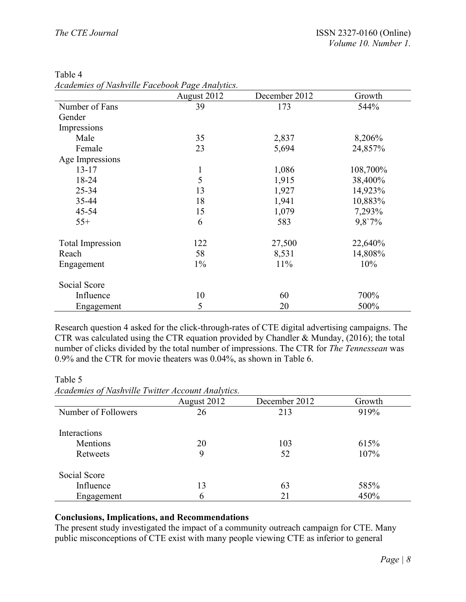|                         | August 2012  | December 2012 | Growth   |
|-------------------------|--------------|---------------|----------|
| Number of Fans          | 39           | 173           | 544%     |
| Gender                  |              |               |          |
| Impressions             |              |               |          |
| Male                    | 35           | 2,837         | 8,206%   |
| Female                  | 23           | 5,694         | 24,857%  |
| Age Impressions         |              |               |          |
| $13 - 17$               | $\mathbf{1}$ | 1,086         | 108,700% |
| 18-24                   | 5            | 1,915         | 38,400%  |
| 25-34                   | 13           | 1,927         | 14,923%  |
| 35-44                   | 18           | 1,941         | 10,883%  |
| 45-54                   | 15           | 1,079         | 7,293%   |
| $55+$                   | 6            | 583           | 9,8'7%   |
| <b>Total Impression</b> | 122          | 27,500        | 22,640%  |
| Reach                   | 58           | 8,531         | 14,808%  |
| Engagement              | $1\%$        | 11%           | 10%      |
| Social Score            |              |               |          |
| Influence               | 10           | 60            | 700%     |
| Engagement              | 5            | 20            | 500%     |

| Table 4                                         |  |
|-------------------------------------------------|--|
| Academies of Nashville Facebook Page Analytics. |  |

Research question 4 asked for the click-through-rates of CTE digital advertising campaigns. The CTR was calculated using the CTR equation provided by Chandler & Munday, (2016); the total number of clicks divided by the total number of impressions. The CTR for *The Tennessean* was 0.9% and the CTR for movie theaters was 0.04%, as shown in Table 6.

Table 5

*Academies of Nashville Twitter Account Analytics.*

|                     | August 2012 | December 2012 | Growth |
|---------------------|-------------|---------------|--------|
| Number of Followers | 26          | 213           | 919%   |
| Interactions        |             |               |        |
| Mentions            | 20          | 103           | 615%   |
| Retweets            | 9           | 52            | 107%   |
| Social Score        |             |               |        |
| Influence           | 13          | 63            | 585%   |
| Engagement          | h           | 21            | 450%   |

# **Conclusions, Implications, and Recommendations**

The present study investigated the impact of a community outreach campaign for CTE. Many public misconceptions of CTE exist with many people viewing CTE as inferior to general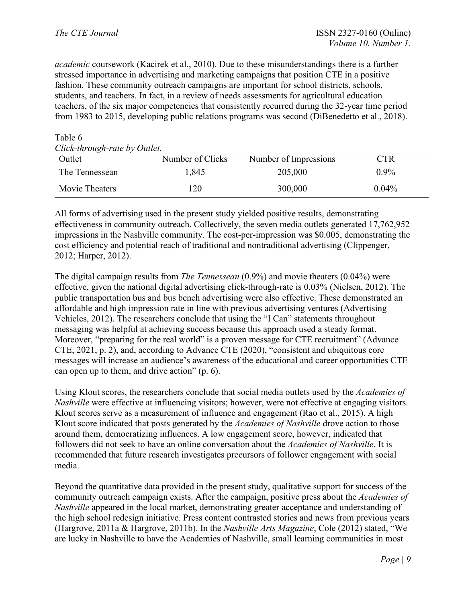Table 6

*academic* coursework (Kacirek et al., 2010). Due to these misunderstandings there is a further stressed importance in advertising and marketing campaigns that position CTE in a positive fashion. These community outreach campaigns are important for school districts, schools, students, and teachers. In fact, in a review of needs assessments for agricultural education teachers, of the six major competencies that consistently recurred during the 32-year time period from 1983 to 2015, developing public relations programs was second (DiBenedetto et al., 2018).

| 1 UU 1 V 7 V                  |                  |                       |                                  |  |  |  |
|-------------------------------|------------------|-----------------------|----------------------------------|--|--|--|
| Click-through-rate by Outlet. |                  |                       |                                  |  |  |  |
| Outlet                        | Number of Clicks | Number of Impressions | $\mathbb{C}\mathrm{T}\mathrm{R}$ |  |  |  |
| The Tennessean                | 1,845            | 205,000               | $0.9\%$                          |  |  |  |
| Movie Theaters                | .20              | 300,000               | $0.04\%$                         |  |  |  |

All forms of advertising used in the present study yielded positive results, demonstrating effectiveness in community outreach. Collectively, the seven media outlets generated 17,762,952 impressions in the Nashville community. The cost-per-impression was \$0.005, demonstrating the cost efficiency and potential reach of traditional and nontraditional advertising (Clippenger, 2012; Harper, 2012).

The digital campaign results from *The Tennessean* (0.9%) and movie theaters (0.04%) were effective, given the national digital advertising click-through-rate is 0.03% (Nielsen, 2012). The public transportation bus and bus bench advertising were also effective. These demonstrated an affordable and high impression rate in line with previous advertising ventures (Advertising Vehicles, 2012). The researchers conclude that using the "I Can" statements throughout messaging was helpful at achieving success because this approach used a steady format. Moreover, "preparing for the real world" is a proven message for CTE recruitment" (Advance CTE, 2021, p. 2), and, according to Advance CTE (2020), "consistent and ubiquitous core messages will increase an audience's awareness of the educational and career opportunities CTE can open up to them, and drive action" (p. 6).

Using Klout scores, the researchers conclude that social media outlets used by the *Academies of Nashville* were effective at influencing visitors; however, were not effective at engaging visitors. Klout scores serve as a measurement of influence and engagement (Rao et al., 2015). A high Klout score indicated that posts generated by the *Academies of Nashville* drove action to those around them, democratizing influences. A low engagement score, however, indicated that followers did not seek to have an online conversation about the *Academies of Nashville*. It is recommended that future research investigates precursors of follower engagement with social media.

Beyond the quantitative data provided in the present study, qualitative support for success of the community outreach campaign exists. After the campaign, positive press about the *Academies of Nashville* appeared in the local market, demonstrating greater acceptance and understanding of the high school redesign initiative. Press content contrasted stories and news from previous years (Hargrove, 2011a & Hargrove, 2011b). In the *Nashville Arts Magazine*, Cole (2012) stated, "We are lucky in Nashville to have the Academies of Nashville, small learning communities in most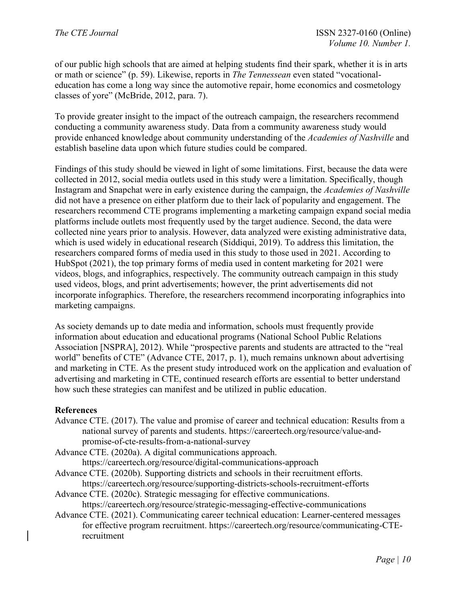of our public high schools that are aimed at helping students find their spark, whether it is in arts or math or science" (p. 59). Likewise, reports in *The Tennessean* even stated "vocationaleducation has come a long way since the automotive repair, home economics and cosmetology classes of yore" (McBride, 2012, para. 7).

To provide greater insight to the impact of the outreach campaign, the researchers recommend conducting a community awareness study. Data from a community awareness study would provide enhanced knowledge about community understanding of the *Academies of Nashville* and establish baseline data upon which future studies could be compared.

Findings of this study should be viewed in light of some limitations. First, because the data were collected in 2012, social media outlets used in this study were a limitation. Specifically, though Instagram and Snapchat were in early existence during the campaign, the *Academies of Nashville* did not have a presence on either platform due to their lack of popularity and engagement. The researchers recommend CTE programs implementing a marketing campaign expand social media platforms include outlets most frequently used by the target audience. Second, the data were collected nine years prior to analysis. However, data analyzed were existing administrative data, which is used widely in educational research (Siddiqui, 2019). To address this limitation, the researchers compared forms of media used in this study to those used in 2021. According to HubSpot (2021), the top primary forms of media used in content marketing for 2021 were videos, blogs, and infographics, respectively. The community outreach campaign in this study used videos, blogs, and print advertisements; however, the print advertisements did not incorporate infographics. Therefore, the researchers recommend incorporating infographics into marketing campaigns.

As society demands up to date media and information, schools must frequently provide information about education and educational programs (National School Public Relations Association [NSPRA], 2012). While "prospective parents and students are attracted to the "real world" benefits of CTE" (Advance CTE, 2017, p. 1), much remains unknown about advertising and marketing in CTE. As the present study introduced work on the application and evaluation of advertising and marketing in CTE, continued research efforts are essential to better understand how such these strategies can manifest and be utilized in public education.

# **References**

Advance CTE. (2017). The value and promise of career and technical education: Results from a national survey of parents and students. https://careertech.org/resource/value-andpromise-of-cte-results-from-a-national-survey

Advance CTE. (2020a). A digital communications approach.

https://careertech.org/resource/digital-communications-approach

Advance CTE. (2020b). Supporting districts and schools in their recruitment efforts. https://careertech.org/resource/supporting-districts-schools-recruitment-efforts

Advance CTE. (2020c). Strategic messaging for effective communications. https://careertech.org/resource/strategic-messaging-effective-communications

Advance CTE. (2021). Communicating career technical education: Learner-centered messages for effective program recruitment. https://careertech.org/resource/communicating-CTErecruitment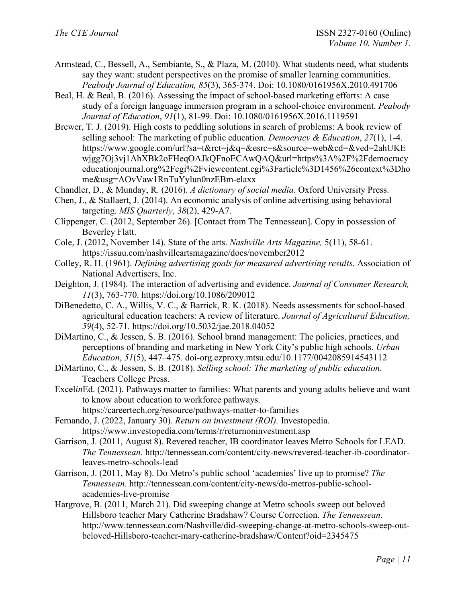- Armstead, C., Bessell, A., Sembiante, S., & Plaza, M. (2010). What students need, what students say they want: student perspectives on the promise of smaller learning communities. *Peabody Journal of Education, 85*(3), 365-374. Doi: 10.1080/0161956X.2010.491706
- Beal, H. & Beal, B. (2016). Assessing the impact of school-based marketing efforts: A case study of a foreign language immersion program in a school-choice environment. *Peabody Journal of Education*, *91*(1), 81-99. Doi: 10.1080/0161956X.2016.1119591
- Brewer, T. J. (2019). High costs to peddling solutions in search of problems: A book review of selling school: The marketing of public education. *Democracy & Education*, *27*(1), 1-4. https://www.google.com/url?sa=t&rct=j&q=&esrc=s&source=web&cd=&ved=2ahUKE wjgg7Oj3vj1AhXBk2oFHeqOAJkQFnoECAwQAQ&url=https%3A%2F%2Fdemocracy educationjournal.org%2Fcgi%2Fviewcontent.cgi%3Farticle%3D1456%26context%3Dho me&usg=AOvVaw1RnTuYylun0nzEBm-elaxx
- Chandler, D., & Munday, R. (2016). *A dictionary of social media*. Oxford University Press.
- Chen, J., & Stallaert, J. (2014). An economic analysis of online advertising using behavioral targeting. *MIS Quarterly*, *38*(2), 429-A7.
- Clippenger, C. (2012, September 26). [Contact from The Tennessean]. Copy in possession of Beverley Flatt.
- Cole, J. (2012, November 14). State of the arts. *Nashville Arts Magazine,* 5(11), 58-61. https://issuu.com/nashvilleartsmagazine/docs/november2012
- Colley, R. H. (1961). *Defining advertising goals for measured advertising results*. Association of National Advertisers, Inc.
- Deighton, J. (1984). The interaction of advertising and evidence. *Journal of Consumer Research, 11*(3), 763-770. https://doi.org/10.1086/209012
- DiBenedetto, C. A., Willis, V. C., & Barrick, R. K. (2018). Needs assessments for school-based agricultural education teachers: A review of literature. *Journal of Agricultural Education, 59*(4), 52-71. https://doi.org/10.5032/jae.2018.04052
- DiMartino, C., & Jessen, S. B. (2016). School brand management: The policies, practices, and perceptions of branding and marketing in New York City's public high schools. *Urban Education*, *51*(5), 447–475. doi-org.ezproxy.mtsu.edu/10.1177/0042085914543112
- DiMartino, C., & Jessen, S. B. (2018). *Selling school: The marketing of public education*. Teachers College Press.
- Excel*in*Ed. (2021). Pathways matter to families: What parents and young adults believe and want to know about education to workforce pathways.
	- https://careertech.org/resource/pathways-matter-to-families
- Fernando, J. (2022, January 30). *Return on investment (ROI).* Investopedia. https://www.investopedia.com/terms/r/returnoninvestment.asp
- Garrison, J. (2011, August 8). Revered teacher, IB coordinator leaves Metro Schools for LEAD. *The Tennessean.* http://tennessean.com/content/city-news/revered-teacher-ib-coordinatorleaves-metro-schools-lead
- Garrison, J. (2011, May 8). Do Metro's public school 'academies' live up to promise? *The Tennessean.* http://tennessean.com/content/city-news/do-metros-public-schoolacademies-live-promise
- Hargrove, B. (2011, March 21). Did sweeping change at Metro schools sweep out beloved Hillsboro teacher Mary Catherine Bradshaw? Course Correction. *The Tennessean.*  http://www.tennessean.com/Nashville/did-sweeping-change-at-metro-schools-sweep-outbeloved-Hillsboro-teacher-mary-catherine-bradshaw/Content?oid=2345475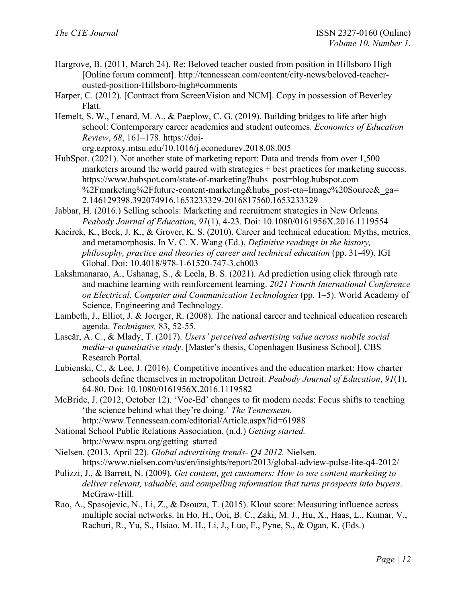- Hargrove, B. (2011, March 24). Re: Beloved teacher ousted from position in Hillsboro High [Online forum comment]. http://tennessean.com/content/city-news/beloved-teacherousted-position-Hillsboro-high#comments
- Harper, C. (2012). [Contract from ScreenVision and NCM]. Copy in possession of Beverley Flatt.
- Hemelt, S. W., Lenard, M. A., & Paeplow, C. G. (2019). Building bridges to life after high school: Contemporary career academies and student outcomes. *Economics of Education Review*, *68*, 161–178. https://doi-

org.ezproxy.mtsu.edu/10.1016/j.econedurev.2018.08.005

- HubSpot. (2021). Not another state of marketing report: Data and trends from over 1,500 marketers around the world paired with strategies + best practices for marketing success. https://www.hubspot.com/state-of-marketing?hubs\_post=blog.hubspot.com %2Fmarketing%2Ffuture-content-marketing&hubs\_post-cta=Image%20Source&\_ga= 2.146129398.392074916.1653233329-2016817560.1653233329
- Jabbar, H. (2016.) Selling schools: Marketing and recruitment strategies in New Orleans. *Peabody Journal of Education*, *91*(1), 4-23. Doi: 10.1080/0161956X.2016.1119554
- Kacirek, K., Beck, J. K., & Grover, K. S. (2010). Career and technical education: Myths, metrics, and metamorphosis. In V. C. X. Wang (Ed.), *Definitive readings in the history, philosophy, practice and theories of career and technical education* (pp. 31-49). IGI Global. Doi: 10.4018/978-1-61520-747-3.ch003
- Lakshmanarao, A., Ushanag, S., & Leela, B. S. (2021). Ad prediction using click through rate and machine learning with reinforcement learning. *2021 Fourth International Conference on Electrical, Computer and Communication Technologies* (pp. 1–5). World Academy of Science, Engineering and Technology.
- Lambeth, J., Elliot, J. & Joerger, R. (2008). The national career and technical education research agenda. *Techniques,* 83, 52-55.
- Lascăr, A. C., & Mlady, T. (2017). *Users' perceived advertising value across mobile social media–a quantitative study*. [Master's thesis, Copenhagen Business School]. CBS Research Portal.
- Lubienski, C., & Lee, J. (2016). Competitive incentives and the education market: How charter schools define themselves in metropolitan Detroit. *Peabody Journal of Education*, *91*(1), 64-80. Doi: 10.1080/0161956X.2016.1119582
- McBride, J. (2012, October 12). 'Voc-Ed' changes to fit modern needs: Focus shifts to teaching 'the science behind what they're doing.' *The Tennessean.*  http://www.Tennessean.com/editorial/Article.aspx?id=61988
- National School Public Relations Association. (n.d.) *Getting started.*  http://www.nspra.org/getting\_started
- Nielsen. (2013, April 22). *Global advertising trends- Q4 2012.* Nielsen. https://www.nielsen.com/us/en/insights/report/2013/global-adview-pulse-lite-q4-2012/
- Pulizzi, J., & Barrett, N. (2009). *Get content, get customers: How to use content marketing to deliver relevant, valuable, and compelling information that turns prospects into buyers*. McGraw-Hill.
- Rao, A., Spasojevic, N., Li, Z., & Dsouza, T. (2015). Klout score: Measuring influence across multiple social networks. In Ho, H., Ooi, B. C., Zaki, M. J., Hu, X., Haas, L., Kumar, V., Rachuri, R., Yu, S., Hsiao, M. H., Li, J., Luo, F., Pyne, S., & Ogan, K. (Eds.)